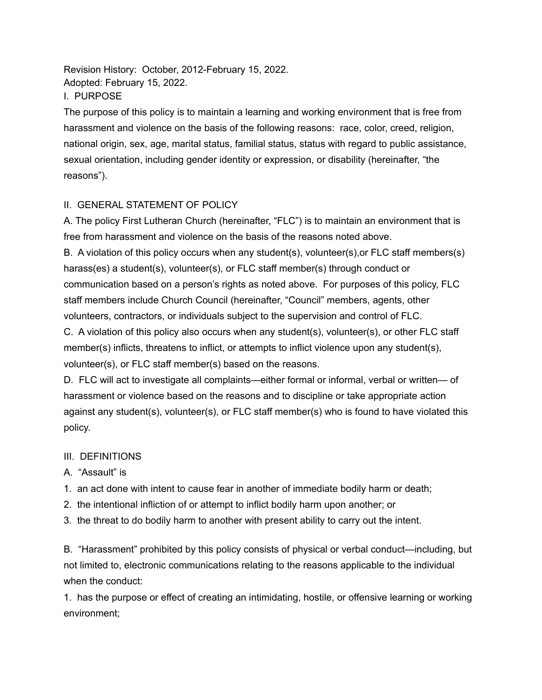Revision History: October, 2012-February 15, 2022. Adopted: February 15, 2022. I. PURPOSE

The purpose of this policy is to maintain a learning and working environment that is free from harassment and violence on the basis of the following reasons: race, color, creed, religion, national origin, sex, age, marital status, familial status, status with regard to public assistance, sexual orientation, including gender identity or expression, or disability (hereinafter, "the reasons").

# II. GENERAL STATEMENT OF POLICY

A. The policy First Lutheran Church (hereinafter, "FLC") is to maintain an environment that is free from harassment and violence on the basis of the reasons noted above.

B. A violation of this policy occurs when any student(s), volunteer(s),or FLC staff members(s) harass(es) a student(s), volunteer(s), or FLC staff member(s) through conduct or communication based on a person's rights as noted above. For purposes of this policy, FLC staff members include Church Council (hereinafter, "Council" members, agents, other volunteers, contractors, or individuals subject to the supervision and control of FLC.

C. A violation of this policy also occurs when any student(s), volunteer(s), or other FLC staff member(s) inflicts, threatens to inflict, or attempts to inflict violence upon any student(s), volunteer(s), or FLC staff member(s) based on the reasons.

D. FLC will act to investigate all complaints—either formal or informal, verbal or written— of harassment or violence based on the reasons and to discipline or take appropriate action against any student(s), volunteer(s), or FLC staff member(s) who is found to have violated this policy.

# III. DEFINITIONS

- A. "Assault" is
- 1. an act done with intent to cause fear in another of immediate bodily harm or death;
- 2. the intentional infliction of or attempt to inflict bodily harm upon another; or
- 3. the threat to do bodily harm to another with present ability to carry out the intent.

B. "Harassment" prohibited by this policy consists of physical or verbal conduct—including, but not limited to, electronic communications relating to the reasons applicable to the individual when the conduct:

1. has the purpose or effect of creating an intimidating, hostile, or offensive learning or working environment;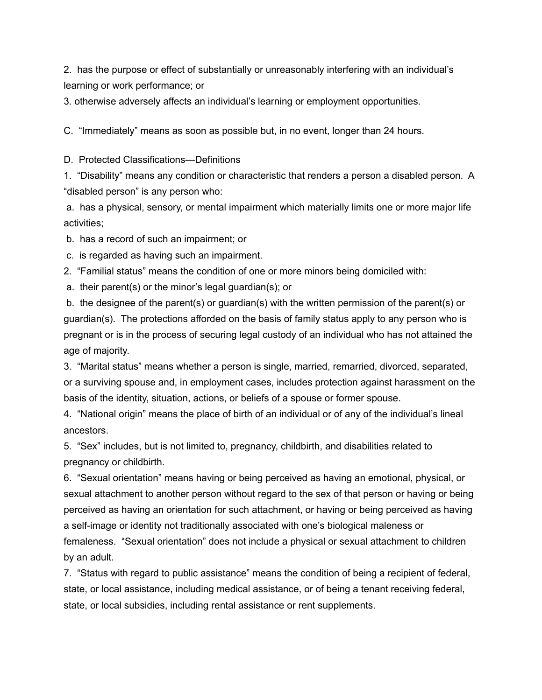2. has the purpose or effect of substantially or unreasonably interfering with an individual's learning or work performance; or

3. otherwise adversely affects an individual's learning or employment opportunities.

C. "Immediately" means as soon as possible but, in no event, longer than 24 hours.

D. Protected Classifications—Definitions

1. "Disability" means any condition or characteristic that renders a person a disabled person. A "disabled person" is any person who:

a. has a physical, sensory, or mental impairment which materially limits one or more major life activities;

b. has a record of such an impairment; or

c. is regarded as having such an impairment.

2. "Familial status" means the condition of one or more minors being domiciled with:

a. their parent(s) or the minor's legal guardian(s); or

b. the designee of the parent(s) or guardian(s) with the written permission of the parent(s) or guardian(s). The protections afforded on the basis of family status apply to any person who is pregnant or is in the process of securing legal custody of an individual who has not attained the age of majority.

3. "Marital status" means whether a person is single, married, remarried, divorced, separated, or a surviving spouse and, in employment cases, includes protection against harassment on the basis of the identity, situation, actions, or beliefs of a spouse or former spouse.

4. "National origin" means the place of birth of an individual or of any of the individual's lineal ancestors.

5. "Sex" includes, but is not limited to, pregnancy, childbirth, and disabilities related to pregnancy or childbirth.

6. "Sexual orientation" means having or being perceived as having an emotional, physical, or sexual attachment to another person without regard to the sex of that person or having or being perceived as having an orientation for such attachment, or having or being perceived as having a self-image or identity not traditionally associated with one's biological maleness or femaleness. "Sexual orientation" does not include a physical or sexual attachment to children by an adult.

7. "Status with regard to public assistance" means the condition of being a recipient of federal, state, or local assistance, including medical assistance, or of being a tenant receiving federal, state, or local subsidies, including rental assistance or rent supplements.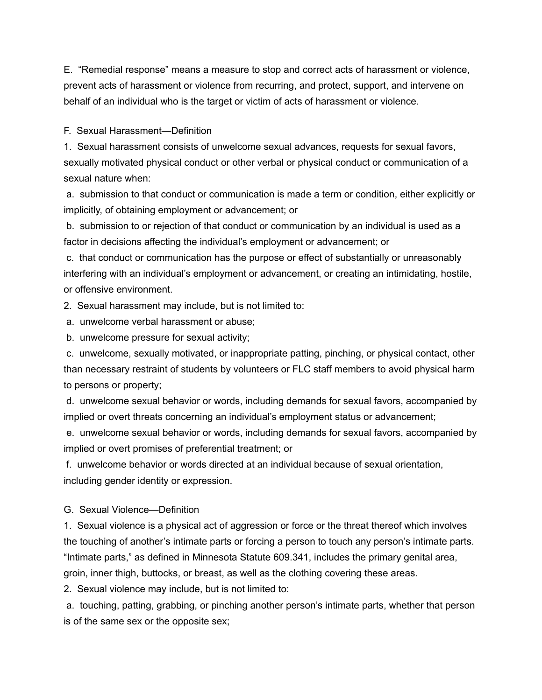E. "Remedial response" means a measure to stop and correct acts of harassment or violence, prevent acts of harassment or violence from recurring, and protect, support, and intervene on behalf of an individual who is the target or victim of acts of harassment or violence.

F. Sexual Harassment—Definition

1. Sexual harassment consists of unwelcome sexual advances, requests for sexual favors, sexually motivated physical conduct or other verbal or physical conduct or communication of a sexual nature when:

a. submission to that conduct or communication is made a term or condition, either explicitly or implicitly, of obtaining employment or advancement; or

b. submission to or rejection of that conduct or communication by an individual is used as a factor in decisions affecting the individual's employment or advancement; or

c. that conduct or communication has the purpose or effect of substantially or unreasonably interfering with an individual's employment or advancement, or creating an intimidating, hostile, or offensive environment.

2. Sexual harassment may include, but is not limited to:

a. unwelcome verbal harassment or abuse;

b. unwelcome pressure for sexual activity;

c. unwelcome, sexually motivated, or inappropriate patting, pinching, or physical contact, other than necessary restraint of students by volunteers or FLC staff members to avoid physical harm to persons or property;

d. unwelcome sexual behavior or words, including demands for sexual favors, accompanied by implied or overt threats concerning an individual's employment status or advancement;

e. unwelcome sexual behavior or words, including demands for sexual favors, accompanied by implied or overt promises of preferential treatment; or

f. unwelcome behavior or words directed at an individual because of sexual orientation, including gender identity or expression.

### G. Sexual Violence—Definition

1. Sexual violence is a physical act of aggression or force or the threat thereof which involves the touching of another's intimate parts or forcing a person to touch any person's intimate parts. "Intimate parts," as defined in Minnesota Statute 609.341, includes the primary genital area, groin, inner thigh, buttocks, or breast, as well as the clothing covering these areas.

2. Sexual violence may include, but is not limited to:

a. touching, patting, grabbing, or pinching another person's intimate parts, whether that person is of the same sex or the opposite sex;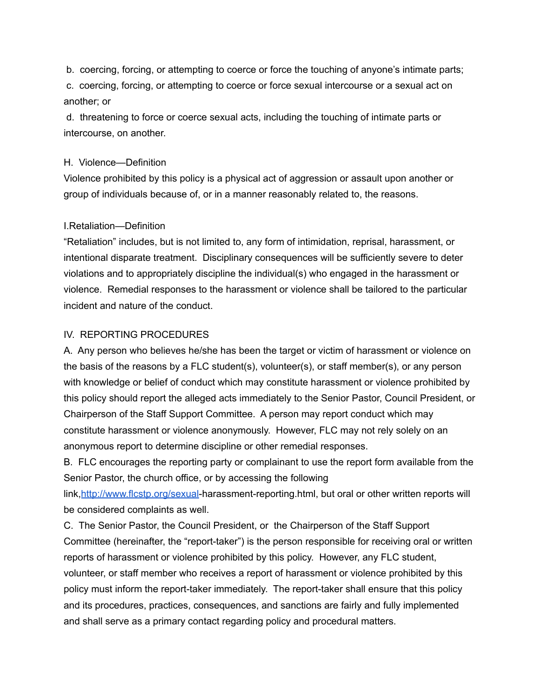b. coercing, forcing, or attempting to coerce or force the touching of anyone's intimate parts; c. coercing, forcing, or attempting to coerce or force sexual intercourse or a sexual act on another; or

d. threatening to force or coerce sexual acts, including the touching of intimate parts or intercourse, on another.

### H. Violence—Definition

Violence prohibited by this policy is a physical act of aggression or assault upon another or group of individuals because of, or in a manner reasonably related to, the reasons.

### I.Retaliation—Definition

"Retaliation" includes, but is not limited to, any form of intimidation, reprisal, harassment, or intentional disparate treatment. Disciplinary consequences will be sufficiently severe to deter violations and to appropriately discipline the individual(s) who engaged in the harassment or violence. Remedial responses to the harassment or violence shall be tailored to the particular incident and nature of the conduct.

#### IV. REPORTING PROCEDURES

A. Any person who believes he/she has been the target or victim of harassment or violence on the basis of the reasons by a FLC student(s), volunteer(s), or staff member(s), or any person with knowledge or belief of conduct which may constitute harassment or violence prohibited by this policy should report the alleged acts immediately to the Senior Pastor, Council President, or Chairperson of the Staff Support Committee. A person may report conduct which may constitute harassment or violence anonymously. However, FLC may not rely solely on an anonymous report to determine discipline or other remedial responses.

B. FLC encourages the reporting party or complainant to use the report form available from the Senior Pastor, the church office, or by accessing the following

link, [http://www.flcstp.org/sexual-](http://www.flcstp.org/sexual)harassment-reporting.html, but oral or other written reports will be considered complaints as well.

C. The Senior Pastor, the Council President, or the Chairperson of the Staff Support Committee (hereinafter, the "report-taker") is the person responsible for receiving oral or written reports of harassment or violence prohibited by this policy. However, any FLC student, volunteer, or staff member who receives a report of harassment or violence prohibited by this policy must inform the report-taker immediately. The report-taker shall ensure that this policy and its procedures, practices, consequences, and sanctions are fairly and fully implemented and shall serve as a primary contact regarding policy and procedural matters.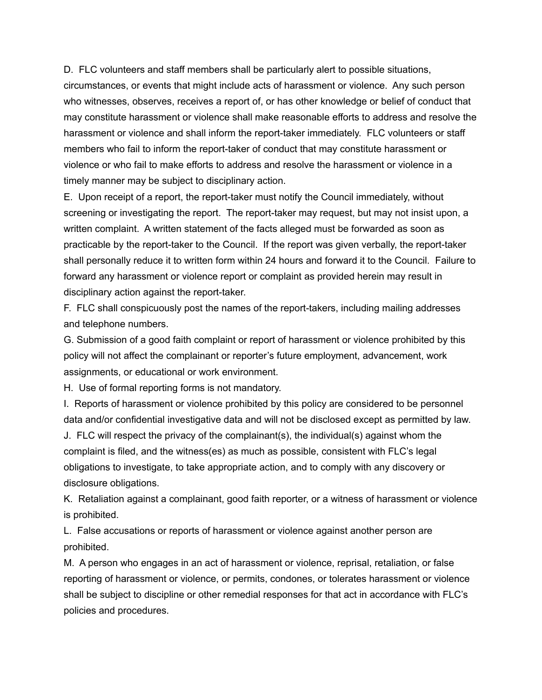D. FLC volunteers and staff members shall be particularly alert to possible situations, circumstances, or events that might include acts of harassment or violence. Any such person who witnesses, observes, receives a report of, or has other knowledge or belief of conduct that may constitute harassment or violence shall make reasonable efforts to address and resolve the harassment or violence and shall inform the report-taker immediately. FLC volunteers or staff members who fail to inform the report-taker of conduct that may constitute harassment or violence or who fail to make efforts to address and resolve the harassment or violence in a timely manner may be subject to disciplinary action.

E. Upon receipt of a report, the report-taker must notify the Council immediately, without screening or investigating the report. The report-taker may request, but may not insist upon, a written complaint. A written statement of the facts alleged must be forwarded as soon as practicable by the report-taker to the Council. If the report was given verbally, the report-taker shall personally reduce it to written form within 24 hours and forward it to the Council. Failure to forward any harassment or violence report or complaint as provided herein may result in disciplinary action against the report-taker.

F. FLC shall conspicuously post the names of the report-takers, including mailing addresses and telephone numbers.

G. Submission of a good faith complaint or report of harassment or violence prohibited by this policy will not affect the complainant or reporter's future employment, advancement, work assignments, or educational or work environment.

H. Use of formal reporting forms is not mandatory.

I. Reports of harassment or violence prohibited by this policy are considered to be personnel data and/or confidential investigative data and will not be disclosed except as permitted by law.

J. FLC will respect the privacy of the complainant(s), the individual(s) against whom the complaint is filed, and the witness(es) as much as possible, consistent with FLC's legal obligations to investigate, to take appropriate action, and to comply with any discovery or disclosure obligations.

K. Retaliation against a complainant, good faith reporter, or a witness of harassment or violence is prohibited.

L. False accusations or reports of harassment or violence against another person are prohibited.

M. A person who engages in an act of harassment or violence, reprisal, retaliation, or false reporting of harassment or violence, or permits, condones, or tolerates harassment or violence shall be subject to discipline or other remedial responses for that act in accordance with FLC's policies and procedures.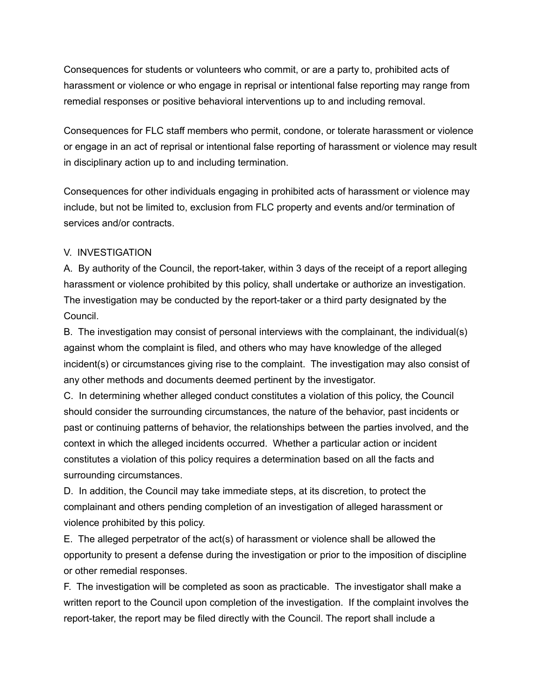Consequences for students or volunteers who commit, or are a party to, prohibited acts of harassment or violence or who engage in reprisal or intentional false reporting may range from remedial responses or positive behavioral interventions up to and including removal.

Consequences for FLC staff members who permit, condone, or tolerate harassment or violence or engage in an act of reprisal or intentional false reporting of harassment or violence may result in disciplinary action up to and including termination.

Consequences for other individuals engaging in prohibited acts of harassment or violence may include, but not be limited to, exclusion from FLC property and events and/or termination of services and/or contracts.

## V. INVESTIGATION

A. By authority of the Council, the report-taker, within 3 days of the receipt of a report alleging harassment or violence prohibited by this policy, shall undertake or authorize an investigation. The investigation may be conducted by the report-taker or a third party designated by the Council.

B. The investigation may consist of personal interviews with the complainant, the individual(s) against whom the complaint is filed, and others who may have knowledge of the alleged incident(s) or circumstances giving rise to the complaint. The investigation may also consist of any other methods and documents deemed pertinent by the investigator.

C. In determining whether alleged conduct constitutes a violation of this policy, the Council should consider the surrounding circumstances, the nature of the behavior, past incidents or past or continuing patterns of behavior, the relationships between the parties involved, and the context in which the alleged incidents occurred. Whether a particular action or incident constitutes a violation of this policy requires a determination based on all the facts and surrounding circumstances.

D. In addition, the Council may take immediate steps, at its discretion, to protect the complainant and others pending completion of an investigation of alleged harassment or violence prohibited by this policy.

E. The alleged perpetrator of the act(s) of harassment or violence shall be allowed the opportunity to present a defense during the investigation or prior to the imposition of discipline or other remedial responses.

F. The investigation will be completed as soon as practicable. The investigator shall make a written report to the Council upon completion of the investigation. If the complaint involves the report-taker, the report may be filed directly with the Council. The report shall include a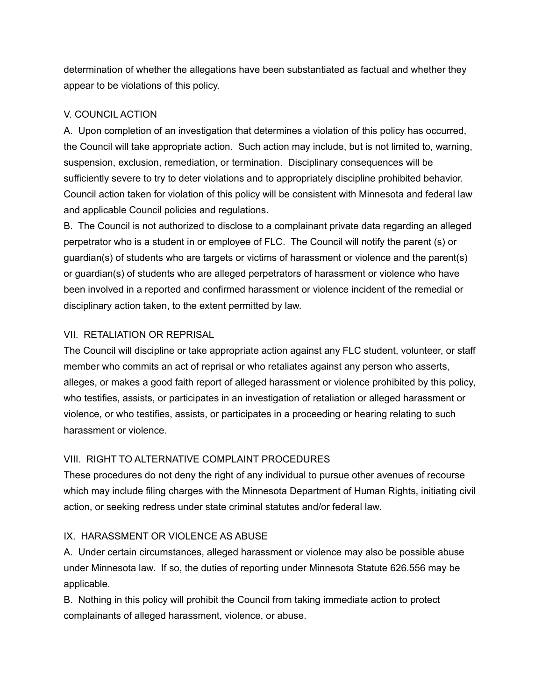determination of whether the allegations have been substantiated as factual and whether they appear to be violations of this policy.

## V. COUNCIL ACTION

A. Upon completion of an investigation that determines a violation of this policy has occurred, the Council will take appropriate action. Such action may include, but is not limited to, warning, suspension, exclusion, remediation, or termination. Disciplinary consequences will be sufficiently severe to try to deter violations and to appropriately discipline prohibited behavior. Council action taken for violation of this policy will be consistent with Minnesota and federal law and applicable Council policies and regulations.

B. The Council is not authorized to disclose to a complainant private data regarding an alleged perpetrator who is a student in or employee of FLC. The Council will notify the parent (s) or guardian(s) of students who are targets or victims of harassment or violence and the parent(s) or guardian(s) of students who are alleged perpetrators of harassment or violence who have been involved in a reported and confirmed harassment or violence incident of the remedial or disciplinary action taken, to the extent permitted by law.

## VII. RETALIATION OR REPRISAL

The Council will discipline or take appropriate action against any FLC student, volunteer, or staff member who commits an act of reprisal or who retaliates against any person who asserts, alleges, or makes a good faith report of alleged harassment or violence prohibited by this policy, who testifies, assists, or participates in an investigation of retaliation or alleged harassment or violence, or who testifies, assists, or participates in a proceeding or hearing relating to such harassment or violence.

# VIII. RIGHT TO ALTERNATIVE COMPLAINT PROCEDURES

These procedures do not deny the right of any individual to pursue other avenues of recourse which may include filing charges with the Minnesota Department of Human Rights, initiating civil action, or seeking redress under state criminal statutes and/or federal law.

# IX. HARASSMENT OR VIOLENCE AS ABUSE

A. Under certain circumstances, alleged harassment or violence may also be possible abuse under Minnesota law. If so, the duties of reporting under Minnesota Statute 626.556 may be applicable.

B. Nothing in this policy will prohibit the Council from taking immediate action to protect complainants of alleged harassment, violence, or abuse.